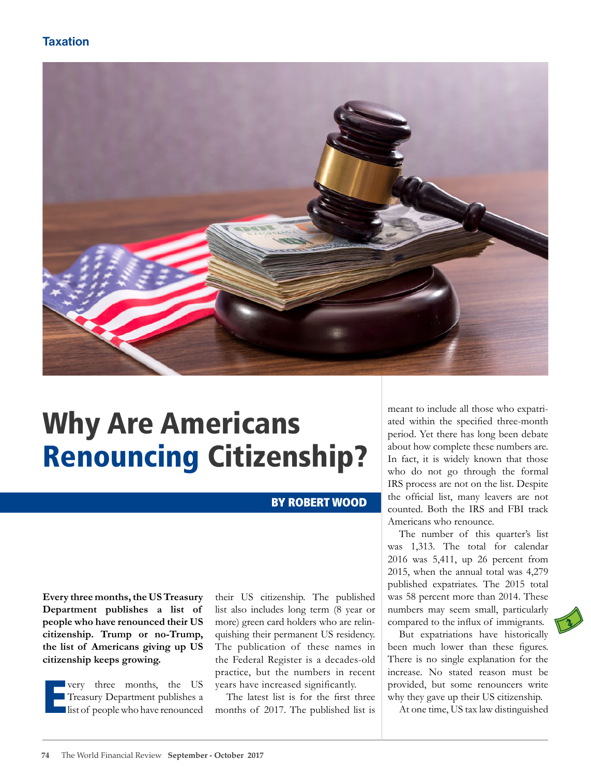### **Taxation**



# Why Are Americans Renouncing Citizenship?

#### BY ROBERT WOOD

**Every three months, the US Treasury Department publishes a list of people who have renounced their US citizenship. Trump or no-Trump, the list of Americans giving up US citizenship keeps growing.** 

E very three months, the US Treasury Department publishes a list of people who have renounced their US citizenship. The published list also includes long term (8 year or more) green card holders who are relinquishing their permanent US residency. The publication of these names in the Federal Register is a decades-old practice, but the numbers in recent years have increased significantly.

The latest list is for the first three months of 2017. The published list is meant to include all those who expatriated within the specified three-month period. Yet there has long been debate about how complete these numbers are. In fact, it is widely known that those who do not go through the formal IRS process are not on the list. Despite the official list, many leavers are not counted. Both the IRS and FBI track Americans who renounce.

The number of this quarter's list was 1,313. The total for calendar 2016 was 5,411, up 26 percent from 2015, when the annual total was 4,279 published expatriates. The 2015 total was 58 percent more than 2014. These numbers may seem small, particularly compared to the influx of immigrants.

But expatriations have historically been much lower than these figures. There is no single explanation for the increase. No stated reason must be provided, but some renouncers write why they gave up their US citizenship.

At one time, US tax law distinguished

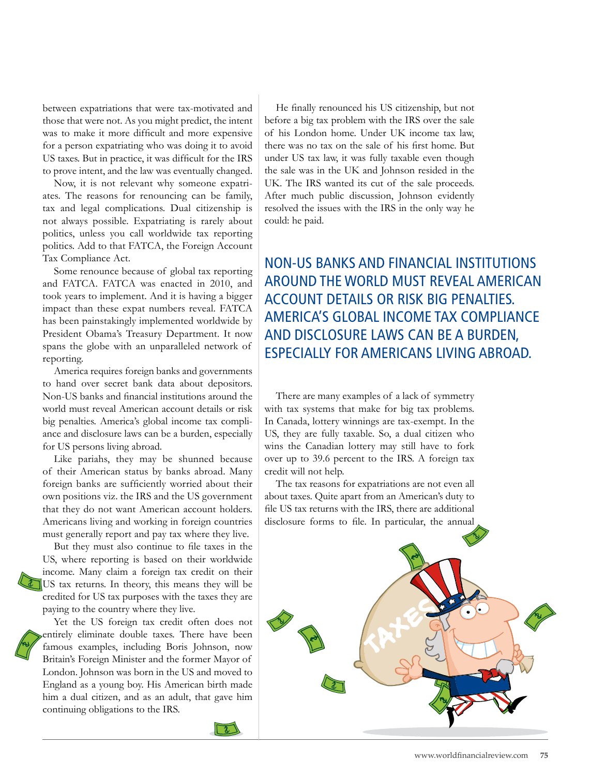between expatriations that were tax-motivated and those that were not. As you might predict, the intent was to make it more difficult and more expensive for a person expatriating who was doing it to avoid US taxes. But in practice, it was difficult for the IRS to prove intent, and the law was eventually changed.

Now, it is not relevant why someone expatriates. The reasons for renouncing can be family, tax and legal complications. Dual citizenship is not always possible. Expatriating is rarely about politics, unless you call worldwide tax reporting politics. Add to that FATCA, the Foreign Account Tax Compliance Act.

Some renounce because of global tax reporting and FATCA. FATCA was enacted in 2010, and took years to implement. And it is having a bigger impact than these expat numbers reveal. FATCA has been painstakingly implemented worldwide by President Obama's Treasury Department. It now spans the globe with an unparalleled network of reporting.

America requires foreign banks and governments to hand over secret bank data about depositors. Non-US banks and financial institutions around the world must reveal American account details or risk big penalties. America's global income tax compliance and disclosure laws can be a burden, especially for US persons living abroad.

Like pariahs, they may be shunned because of their American status by banks abroad. Many foreign banks are sufficiently worried about their own positions viz. the IRS and the US government that they do not want American account holders. Americans living and working in foreign countries must generally report and pay tax where they live.

But they must also continue to file taxes in the US, where reporting is based on their worldwide income. Many claim a foreign tax credit on their US tax returns. In theory, this means they will be credited for US tax purposes with the taxes they are paying to the country where they live.

Yet the US foreign tax credit often does not entirely eliminate double taxes. There have been famous examples, including Boris Johnson, now Britain's Foreign Minister and the former Mayor of London. Johnson was born in the US and moved to England as a young boy. His American birth made him a dual citizen, and as an adult, that gave him continuing obligations to the IRS.

He finally renounced his US citizenship, but not before a big tax problem with the IRS over the sale of his London home. Under UK income tax law, there was no tax on the sale of his first home. But under US tax law, it was fully taxable even though the sale was in the UK and Johnson resided in the UK. The IRS wanted its cut of the sale proceeds. After much public discussion, Johnson evidently resolved the issues with the IRS in the only way he could: he paid.

NON-US BANKS AND FINANCIAL INSTITUTIONS AROUND THE WORLD MUST REVEAL AMERICAN ACCOUNT DETAILS OR RISK BIG PENALTIES. AMERICA'S GLOBAL INCOME TAX COMPLIANCE AND DISCLOSURE LAWS CAN BE A BURDEN, ESPECIALLY FOR AMERICANS LIVING ABROAD.

There are many examples of a lack of symmetry with tax systems that make for big tax problems. In Canada, lottery winnings are tax-exempt. In the US, they are fully taxable. So, a dual citizen who wins the Canadian lottery may still have to fork over up to 39.6 percent to the IRS. A foreign tax credit will not help.

The tax reasons for expatriations are not even all about taxes. Quite apart from an American's duty to file US tax returns with the IRS, there are additional disclosure forms to file. In particular, the annual